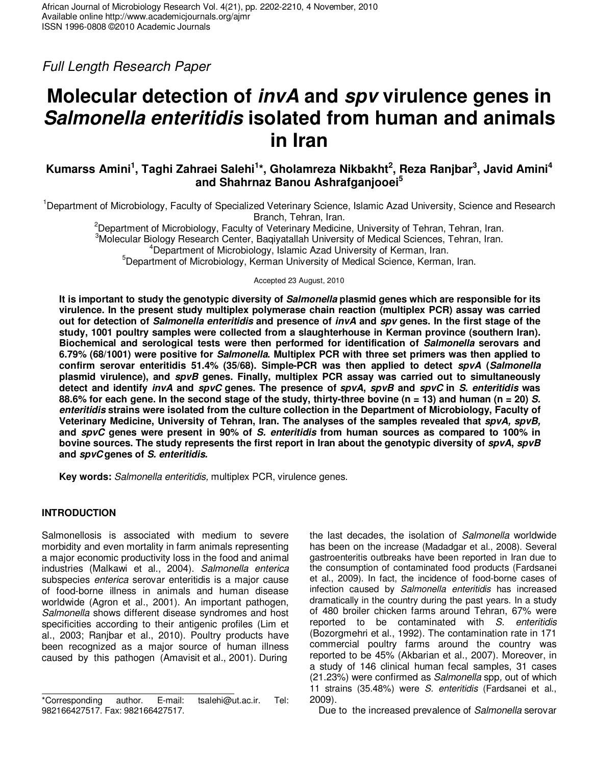Full Length Research Paper

# **Molecular detection of invA and spv virulence genes in Salmonella enteritidis isolated from human and animals in Iran**

## **Kumarss Amini<sup>1</sup> , Taghi Zahraei Salehi<sup>1</sup> \*, Gholamreza Nikbakht<sup>2</sup> , Reza Ranjbar<sup>3</sup> , Javid Amini<sup>4</sup> and Shahrnaz Banou Ashrafganjooei<sup>5</sup>**

<sup>1</sup>Department of Microbiology, Faculty of Specialized Veterinary Science, Islamic Azad University, Science and Research Branch, Tehran, Iran.

<sup>2</sup>Department of Microbiology, Faculty of Veterinary Medicine, University of Tehran, Tehran, Iran. <sup>3</sup>Molecular Biology Research Center, Baqiyatallah University of Medical Sciences, Tehran, Iran.

<sup>4</sup>Department of Microbiology, Islamic Azad University of Kerman, Iran.

<sup>5</sup>Department of Microbiology, Kerman University of Medical Science, Kerman, Iran.

Accepted 23 August, 2010

**It is important to study the genotypic diversity of Salmonella plasmid genes which are responsible for its virulence. In the present study multiplex polymerase chain reaction (multiplex PCR) assay was carried out for detection of Salmonella enteritidis and presence of invA and spv genes. In the first stage of the study, 1001 poultry samples were collected from a slaughterhouse in Kerman province (southern Iran). Biochemical and serological tests were then performed for identification of Salmonella serovars and 6.79% (68/1001) were positive for Salmonella. Multiplex PCR with three set primers was then applied to confirm serovar enteritidis 51.4% (35/68). Simple-PCR was then applied to detect spvA (Salmonella plasmid virulence), and spvB genes. Finally, multiplex PCR assay was carried out to simultaneously detect and identify invA and spvC genes. The presence of spvA, spvB and spvC in S. enteritidis was 88.6% for each gene. In the second stage of the study, thirty-three bovine (n = 13) and human (n = 20) S. enteritidis strains were isolated from the culture collection in the Department of Microbiology, Faculty of Veterinary Medicine, University of Tehran, Iran. The analyses of the samples revealed that spvA, spvB, and spvC genes were present in 90% of S. enteritidis from human sources as compared to 100% in bovine sources. The study represents the first report in Iran about the genotypic diversity of spvA, spvB and spvC genes of S. enteritidis.**

**Key words:** Salmonella enteritidis, multiplex PCR, virulence genes.

## **INTRODUCTION**

Salmonellosis is associated with medium to severe morbidity and even mortality in farm animals representing a major economic productivity loss in the food and animal industries (Malkawi et al., 2004). Salmonella enterica subspecies enterica serovar enteritidis is a major cause of food-borne illness in animals and human disease worldwide (Agron et al., 2001). An important pathogen, Salmonella shows different disease syndromes and host specificities according to their antigenic profiles (Lim et al., 2003; Ranjbar et al., 2010). Poultry products have been recognized as a major source of human illness caused by this pathogen (Amavisit et al., 2001). During

the last decades, the isolation of Salmonella worldwide has been on the increase (Madadgar et al., 2008). Several gastroenteritis outbreaks have been reported in Iran due to the consumption of contaminated food products (Fardsanei et al., 2009). In fact, the incidence of food-borne cases of infection caused by Salmonella enteritidis has increased dramatically in the country during the past years. In a study of 480 broiler chicken farms around Tehran, 67% were reported to be contaminated with S. enteritidis (Bozorgmehri et al., 1992). The contamination rate in 171 commercial poultry farms around the country was reported to be 45% (Akbarian et al., 2007). Moreover, in a study of 146 clinical human fecal samples, 31 cases (21.23%) were confirmed as Salmonella spp, out of which 11 strains (35.48%) were S. enteritidis (Fardsanei et al., 2009).

Due to the increased prevalence of Salmonella serovar

<sup>\*</sup>Corresponding author. E-mail: tsalehi@ut.ac.ir. Tel: 982166427517. Fax: 982166427517.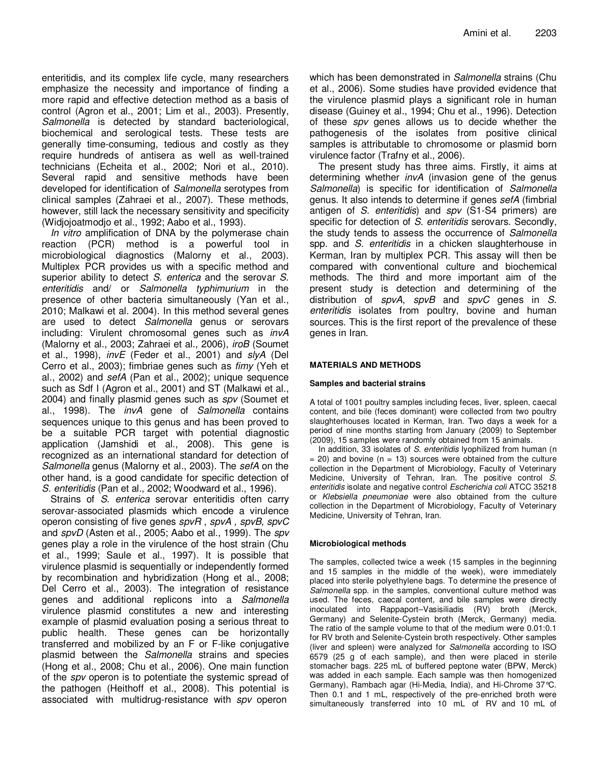enteritidis, and its complex life cycle, many researchers emphasize the necessity and importance of finding a more rapid and effective detection method as a basis of control (Agron et al., 2001; Lim et al., 2003). Presently, Salmonella is detected by standard bacteriological, biochemical and serological tests. These tests are generally time-consuming, tedious and costly as they require hundreds of antisera as well as well-trained technicians (Echeita et al., 2002; Nori et al., 2010). Several rapid and sensitive methods have been developed for identification of Salmonella serotypes from clinical samples (Zahraei et al., 2007). These methods, however, still lack the necessary sensitivity and specificity (Widjojoatmodjo et al., 1992; Aabo et al., 1993).

In vitro amplification of DNA by the polymerase chain reaction (PCR) method is a powerful tool in microbiological diagnostics (Malorny et al., 2003). Multiplex PCR provides us with a specific method and superior ability to detect S. enterica and the serovar S. enteritidis and/ or Salmonella typhimurium in the presence of other bacteria simultaneously (Yan et al., 2010; Malkawi et al. 2004). In this method several genes are used to detect Salmonella genus or serovars including: Virulent chromosomal genes such as invA (Malorny et al., 2003; Zahraei et al., 2006), iroB (Soumet et al., 1998), *invE* (Feder et al., 2001) and slyA (Del Cerro et al., 2003); fimbriae genes such as fimy (Yeh et al., 2002) and sefA (Pan et al., 2002); unique sequence such as Sdf I (Agron et al., 2001) and ST (Malkawi et al., 2004) and finally plasmid genes such as spv (Soumet et al., 1998). The *invA* gene of Salmonella contains sequences unique to this genus and has been proved to be a suitable PCR target with potential diagnostic application (Jamshidi et al., 2008). This gene is recognized as an international standard for detection of Salmonella genus (Malorny et al., 2003). The sefA on the other hand, is a good candidate for specific detection of S. enteritidis (Pan et al., 2002; Woodward et al., 1996).

Strains of S. enterica serovar enteritidis often carry serovar-associated plasmids which encode a virulence operon consisting of five genes spvR , spvA , spvB, spvC and spvD (Asten et al., 2005; Aabo et al., 1999). The spv genes play a role in the virulence of the host strain (Chu et al., 1999; Saule et al., 1997). It is possible that virulence plasmid is sequentially or independently formed by recombination and hybridization (Hong et al., 2008; Del Cerro et al., 2003). The integration of resistance genes and additional replicons into a Salmonella virulence plasmid constitutes a new and interesting example of plasmid evaluation posing a serious threat to public health. These genes can be horizontally transferred and mobilized by an F or F-like conjugative plasmid between the Salmonella strains and species (Hong et al., 2008; Chu et al., 2006). One main function of the spv operon is to potentiate the systemic spread of the pathogen (Heithoff et al., 2008). This potential is associated with multidrug-resistance with spv operon

which has been demonstrated in Salmonella strains (Chu et al., 2006). Some studies have provided evidence that the virulence plasmid plays a significant role in human disease (Guiney et al., 1994; Chu et al., 1996). Detection of these spv genes allows us to decide whether the pathogenesis of the isolates from positive clinical samples is attributable to chromosome or plasmid born virulence factor (Trafny et al., 2006).

The present study has three aims. Firstly, it aims at determining whether *invA* (invasion gene of the genus Salmonella) is specific for identification of Salmonella genus. It also intends to determine if genes sefA (fimbrial antigen of S. enteritidis) and spv (S1-S4 primers) are specific for detection of S. enteritidis serovars. Secondly, the study tends to assess the occurrence of Salmonella spp. and S. enteritidis in a chicken slaughterhouse in Kerman, Iran by multiplex PCR. This assay will then be compared with conventional culture and biochemical methods. The third and more important aim of the present study is detection and determining of the distribution of spvA, spvB and spvC genes in S. enteritidis isolates from poultry, bovine and human sources. This is the first report of the prevalence of these genes in Iran.

#### **MATERIALS AND METHODS**

#### **Samples and bacterial strains**

A total of 1001 poultry samples including feces, liver, spleen, caecal content, and bile (feces dominant) were collected from two poultry slaughterhouses located in Kerman, Iran. Two days a week for a period of nine months starting from January (2009) to September (2009), 15 samples were randomly obtained from 15 animals.

In addition, 33 isolates of S. enteritidis lyophilized from human (n  $= 20$ ) and bovine (n  $= 13$ ) sources were obtained from the culture collection in the Department of Microbiology, Faculty of Veterinary Medicine, University of Tehran, Iran. The positive control S. enteritidis isolate and negative control Escherichia coli ATCC 35218 or Klebsiella pneumoniae were also obtained from the culture collection in the Department of Microbiology, Faculty of Veterinary Medicine, University of Tehran, Iran.

#### **Microbiological methods**

The samples, collected twice a week (15 samples in the beginning and 15 samples in the middle of the week), were immediately placed into sterile polyethylene bags. To determine the presence of Salmonella spp. in the samples, conventional culture method was used. The feces, caecal content, and bile samples were directly inoculated into Rappaport–Vasisiliadis (RV) broth (Merck, Germany) and Selenite-Cystein broth (Merck, Germany) media. The ratio of the sample volume to that of the medium were 0.01:0.1 for RV broth and Selenite-Cystein broth respectively. Other samples (liver and spleen) were analyzed for Salmonella according to ISO 6579 (25 g of each sample), and then were placed in sterile stomacher bags. 225 mL of buffered peptone water (BPW, Merck) was added in each sample. Each sample was then homogenized Germany), Rambach agar (Hi-Media, India), and Hi-Chrome 37°C. Then 0.1 and 1 mL, respectively of the pre-enriched broth were simultaneously transferred into 10 mL of RV and 10 mL of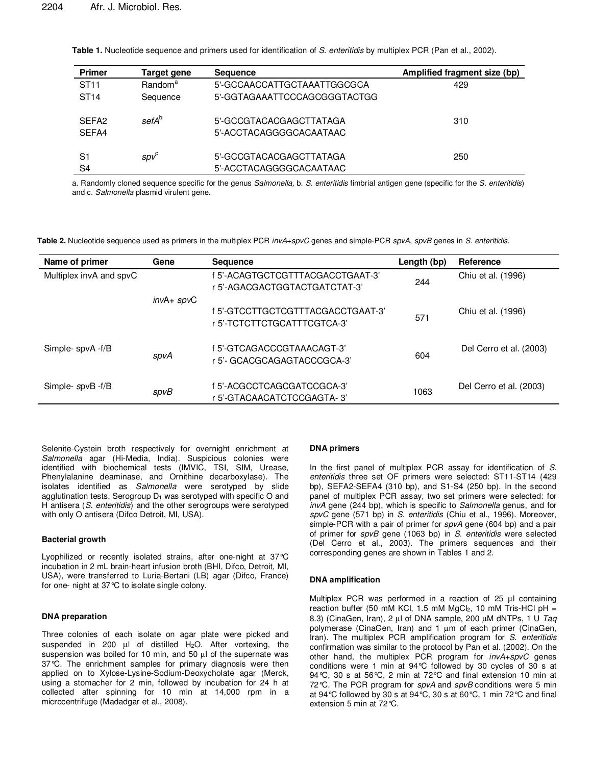**Table 1.** Nucleotide sequence and primers used for identification of S. enteritidis by multiplex PCR (Pan et al., 2002).

| <b>Primer</b>     | Target gene         | <b>Sequence</b>              | Amplified fragment size (bp) |
|-------------------|---------------------|------------------------------|------------------------------|
| <b>ST11</b>       | Random <sup>a</sup> | 5'-GCCAACCATTGCTAAATTGGCGCA  | 429                          |
| <b>ST14</b>       | Sequence            | 5'-GGTAGAAATTCCCAGCGGGTACTGG |                              |
| SFFA <sub>2</sub> | sefA <sup>b</sup>   | 5'-GCCGTACACGAGCTTATAGA      | 310                          |
| SEFA4             |                     | 5'-ACCTACAGGGGCACAATAAC      |                              |
| S1                | spv                 | 5'-GCCGTACACGAGCTTATAGA      | 250                          |
| S <sub>4</sub>    |                     | 5'-ACCTACAGGGGCACAATAAC      |                              |

a. Randomly cloned sequence specific for the genus Salmonella, b. S. enteritidis fimbrial antigen gene (specific for the S. enteritidis) and c. Salmonella plasmid virulent gene.

Table 2. Nucleotide sequence used as primers in the multiplex PCR *invA+spvC* genes and simple-PCR spvA, spvB genes in S. enteritidis.

| Name of primer          | Gene        | <b>Sequence</b>                   | Length (bp) | Reference               |
|-------------------------|-------------|-----------------------------------|-------------|-------------------------|
| Multiplex invA and spvC |             | f 5'-ACAGTGCTCGTTTACGACCTGAAT-3'  | 244         | Chiu et al. (1996)      |
|                         |             | r 5'-AGACGACTGGTACTGATCTAT-3'     |             |                         |
|                         | $invA+spvC$ |                                   |             |                         |
|                         |             | f 5'-GTCCTTGCTCGTTTACGACCTGAAT-3' | 571         | Chiu et al. (1996)      |
|                         |             | r 5'-TCTCTTCTGCATTTCGTCA-3'       |             |                         |
|                         |             | f 5'-GTCAGACCCGTAAACAGT-3'        |             |                         |
| Simple- spvA -f/B       | spvA        | r 5'- GCACGCAGAGTACCCGCA-3'       | 604         | Del Cerro et al. (2003) |
|                         |             |                                   |             |                         |
| Simple- spvB-f/B        |             | f 5'-ACGCCTCAGCGATCCGCA-3'        |             | Del Cerro et al. (2003) |
|                         | spvB        | r 5'-GTACAACATCTCCGAGTA-3'        | 1063        |                         |

Selenite-Cystein broth respectively for overnight enrichment at Salmonella agar (Hi-Media, India). Suspicious colonies were identified with biochemical tests (IMVIC, TSI, SIM, Urease, Phenylalanine deaminase, and Ornithine decarboxylase). The isolates identified as Salmonella were serotyped by slide agglutination tests. Serogroup  $D_1$  was serotyped with specific O and H antisera (S. enteritidis) and the other serogroups were serotyped with only O antisera (Difco Detroit, MI, USA).

#### **Bacterial growth**

Lyophilized or recently isolated strains, after one-night at 37°C incubation in 2 mL brain-heart infusion broth (BHI, Difco, Detroit, MI, USA), were transferred to Luria-Bertani (LB) agar (Difco, France) for one- night at 37°C to isolate single colony.

#### **DNA preparation**

Three colonies of each isolate on agar plate were picked and suspended in 200  $\mu$ l of distilled H<sub>2</sub>O. After vortexing, the suspension was boiled for 10 min, and 50 µl of the supernate was 37°C. The enrichment samples for primary diagnosis were then applied on to Xylose-Lysine-Sodium-Deoxycholate agar (Merck, using a stomacher for 2 min, followed by incubation for 24 h at collected after spinning for 10 min at 14,000 rpm in a microcentrifuge (Madadgar et al., 2008).

#### **DNA primers**

In the first panel of multiplex PCR assay for identification of S. enteritidis three set OF primers were selected: ST11-ST14 (429 bp), SEFA2-SEFA4 (310 bp), and S1-S4 (250 bp). In the second panel of multiplex PCR assay, two set primers were selected: for invA gene (244 bp), which is specific to Salmonella genus, and for spvC gene (571 bp) in S. enteritidis (Chiu et al., 1996). Moreover, simple-PCR with a pair of primer for spvA gene (604 bp) and a pair of primer for spvB gene (1063 bp) in S. enteritidis were selected (Del Cerro et al., 2003). The primers sequences and their corresponding genes are shown in Tables 1 and 2.

#### **DNA amplification**

Multiplex PCR was performed in a reaction of 25 µl containing reaction buffer (50 mM KCl, 1.5 mM MgCl<sub>2</sub>, 10 mM Tris-HCl pH = 8.3) (CinaGen, Iran), 2 µl of DNA sample, 200 µM dNTPs, 1 U Taq polymerase (CinaGen, Iran) and 1 µm of each primer (CinaGen, Iran). The multiplex PCR amplification program for S. enteritidis confirmation was similar to the protocol by Pan et al. (2002). On the other hand, the multiplex PCR program for  $invA+spvC$  genes conditions were 1 min at 94°C followed by 30 cycles of 30 s at 94°C, 30 s at 56°C, 2 min at 72°C and final extension 10 min at 72 $°C$ . The PCR program for spvA and spvB conditions were 5 min at 94°C followed by 30 s at 94°C, 30 s at 60°C, 1 min 72°C and final extension 5 min at 72°C.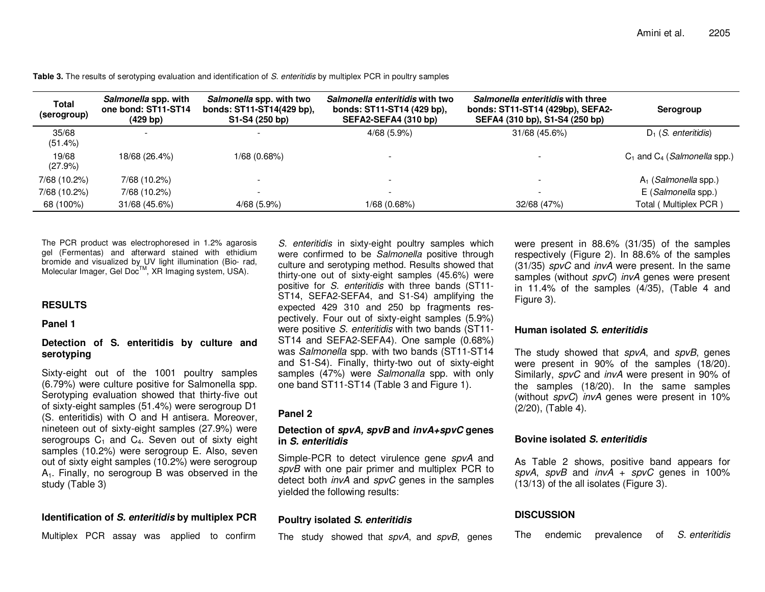| <b>Total</b><br>(serogroup) | Salmonella spp. with<br>one bond: ST11-ST14<br>(429 bp) | Salmonella spp. with two<br>bonds: ST11-ST14(429 bp),<br>S1-S4 (250 bp) | Salmonella enteritidis with two<br>bonds: ST11-ST14 (429 bp),<br>SEFA2-SEFA4 (310 bp) | Salmonella enteritidis with three<br>bonds: ST11-ST14 (429bp), SEFA2-<br>SEFA4 (310 bp), S1-S4 (250 bp) | Serogroup                                 |
|-----------------------------|---------------------------------------------------------|-------------------------------------------------------------------------|---------------------------------------------------------------------------------------|---------------------------------------------------------------------------------------------------------|-------------------------------------------|
| 35/68<br>(51.4%)            | -                                                       |                                                                         | $4/68$ (5.9%)                                                                         | 31/68 (45.6%)                                                                                           | $D_1$ ( <i>S. enteritidis</i> )           |
| 19/68<br>(27.9%)            | 18/68 (26.4%)                                           | 1/68 (0.68%)                                                            |                                                                                       |                                                                                                         | $C_1$ and $C_4$ ( <i>Salmonella</i> spp.) |
| 7/68 (10.2%)                | 7/68 (10.2%)                                            |                                                                         |                                                                                       |                                                                                                         | $A_1$ ( <i>Salmonella</i> spp.)           |
| 7/68 (10.2%)                | 7/68 (10.2%)                                            |                                                                         |                                                                                       |                                                                                                         | E (Salmonella spp.)                       |
| 68 (100%)                   | 31/68(45.6%)                                            | 4/68(5.9%)                                                              | 1/68 (0.68%)                                                                          | 32/68 (47%)                                                                                             | Total (Multiplex PCR)                     |

**Table 3.** The results of serotyping evaluation and identification of S. enteritidis by multiplex PCR in poultry samples

The PCR product was electrophoresed in 1.2% agarosis gel (Fermentas) and afterward stained with ethidium bromide and visualized by UV light illumination (Bio- rad, Molecular Imager, Gel Doc<sup>™</sup>, XR Imaging system, USA).

## **RESULTS**

#### **Panel 1**

### **Detection of S. enteritidis by culture and serotyping**

Sixty-eight out of the 1001 poultry samples (6.79%) were culture positive for Salmonella spp. Serotyping evaluation showed that thirty-five out of sixty-eight samples (51.4%) were serogroup D1 (S. enteritidis) with O and H antisera. Moreover, nineteen out of sixty-eight samples (27.9%) were serogroups  $C_1$  and  $C_4$ . Seven out of sixty eight samples (10.2%) were serogroup E. Also, seven out of sixty eight samples (10.2%) were serogroup  $A<sub>1</sub>$ . Finally, no serogroup B was observed in the study (Table 3)

#### **Identification of S. enteritidis by multiplex PCR**

Multiplex PCR assay was applied to confirm

S. enteritidis in sixty-eight poultry samples which were confirmed to be Salmonella positive through culture and serotyping method. Results showed that thirty-one out of sixty-eight samples (45.6%) were positive for S. enteritidis with three bands (ST11- ST14, SEFA2-SEFA4, and S1-S4) amplifying the expected 429 310 and 250 bp fragments respectively. Four out of sixty-eight samples (5.9%) were positive S. enteritidis with two bands (ST11- ST14 and SEFA2-SEFA4). One sample (0.68%) was Salmonella spp. with two bands (ST11-ST14 and S1-S4). Finally, thirty-two out of sixty-eight samples (47%) were Salmonalla spp. with only one band ST11-ST14 (Table 3 and Figure 1).

### **Panel 2**

## **Detection of spvA, spvB and invA+spvC genes in S. enteritidis**

Simple-PCR to detect virulence gene spvA and spvB with one pair primer and multiplex PCR to detect both *invA* and spvC genes in the samples yielded the following results:

### **Poultry isolated S. enteritidis**

The study showed that spvA, and spvB, genes

were present in 88.6% (31/35) of the samples respectively (Figure 2). In 88.6% of the samples (31/35) spvC and invA were present. In the same samples (without spvC) invA genes were present in 11.4% of the samples (4/35), (Table 4 and Figure 3).

### **Human isolated S. enteritidis**

The study showed that spvA, and spvB, genes were present in 90% of the samples (18/20). Similarly, spvC and invA were present in 90% of the samples (18/20). In the same samples (without spvC) invA genes were present in 10% (2/20), (Table 4).

#### **Bovine isolated S. enteritidis**

As Table 2 shows, positive band appears for spvA, spvB and invA + spvC genes in 100% (13/13) of the all isolates (Figure 3).

### **DISCUSSION**

The endemic prevalence of S. enteritidis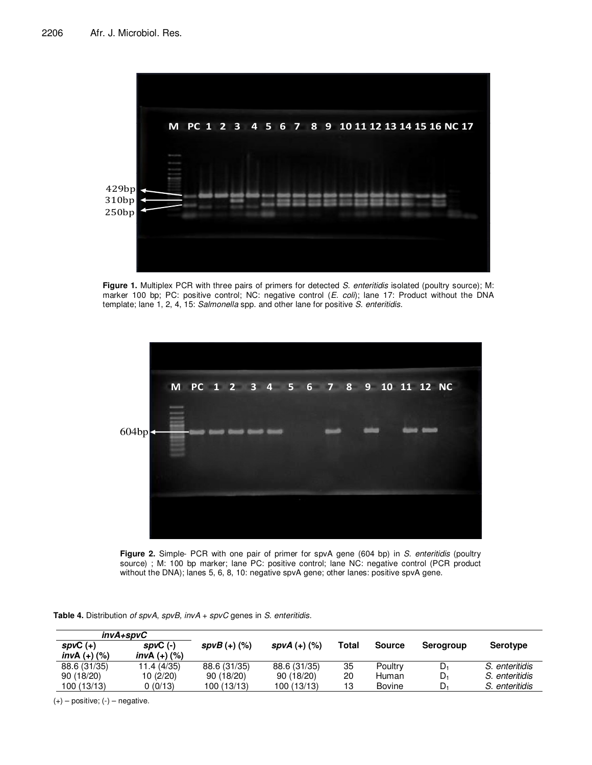

Figure 1. Multiplex PCR with three pairs of primers for detected S. enteritidis isolated (poultry source); M: marker 100 bp; PC: positive control; NC: negative control (E. coli); lane 17: Product without the DNA template; lane 1, 2, 4, 15: Salmonella spp. and other lane for positive S. enteritidis.



Figure 2. Simple- PCR with one pair of primer for spvA gene (604 bp) in S. enteritidis (poultry source) ; M: 100 bp marker; lane PC: positive control; lane NC: negative control (PCR product without the DNA); lanes 5, 6, 8, 10: negative spvA gene; other lanes: positive spvA gene.

Table 4. Distribution of spvA, spvB, invA + spvC genes in S. enteritidis.

| <i>invA+spvC</i>             |                              |                |                |       |               |           |                |
|------------------------------|------------------------------|----------------|----------------|-------|---------------|-----------|----------------|
| $spvC (+)$<br>$invA (+)$ (%) | $spvC$ (-)<br>$invA (+)$ (%) | $spvB (+)$ (%) | $spvA (+)$ (%) | Total | <b>Source</b> | Serogroup | Serotype       |
| 88.6 (31/35)                 | 11.4 (4/35)                  | 88.6 (31/35)   | 88.6 (31/35)   | 35    | Poultry       | $D_1$     | S. enteritidis |
| 90 (18/20)                   | 10 (2/20)                    | 90 (18/20)     | 90(18/20)      | 20    | Human         | D.        | S. enteritidis |
| 100 (13/13)                  | 0(0/13)                      | 100(13/13)     | 100 (13/13)    | 13    | <b>Bovine</b> | D1        | S. enteritidis |

 $(+)$  – positive;  $(-)$  – negative.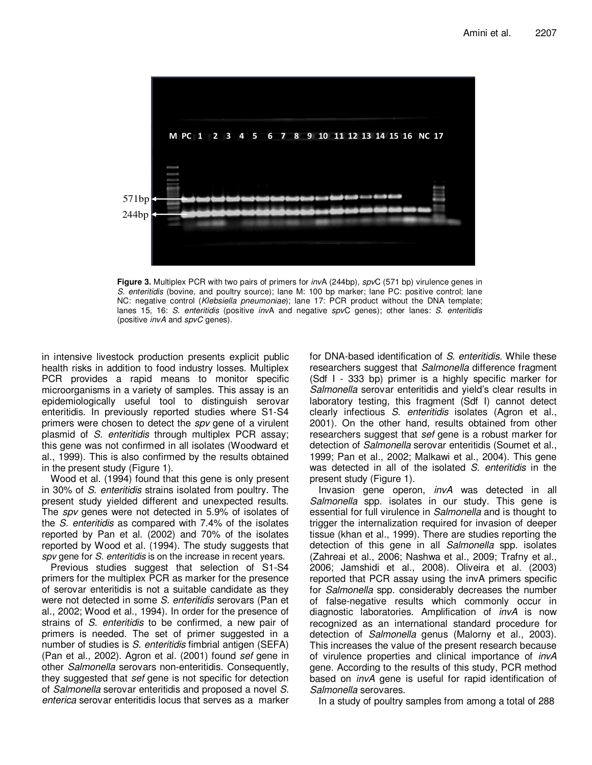

Figure 3. Multiplex PCR with two pairs of primers for *invA* (244bp), spvC (571 bp) virulence genes in S. enteritidis (bovine, and poultry source); lane M: 100 bp marker; lane PC: positive control; lane NC: negative control (Klebsiella pneumoniae); lane 17: PCR product without the DNA template; lanes 15, 16: S. enteritidis (positive invA and negative spvC genes); other lanes: S. enteritidis (positive invA and spvC genes).

in intensive livestock production presents explicit public health risks in addition to food industry losses. Multiplex PCR provides a rapid means to monitor specific microorganisms in a variety of samples. This assay is an epidemiologically useful tool to distinguish serovar enteritidis. In previously reported studies where S1-S4 primers were chosen to detect the spv gene of a virulent plasmid of S. enteritidis through multiplex PCR assay; this gene was not confirmed in all isolates (Woodward et al., 1999). This is also confirmed by the results obtained in the present study (Figure 1).

Wood et al. (1994) found that this gene is only present in 30% of S. enteritidis strains isolated from poultry. The present study yielded different and unexpected results. The spv genes were not detected in 5.9% of isolates of the S. enteritidis as compared with 7.4% of the isolates reported by Pan et al. (2002) and 70% of the isolates reported by Wood et al. (1994). The study suggests that spv gene for S. enteritidis is on the increase in recent years.

Previous studies suggest that selection of S1-S4 primers for the multiplex PCR as marker for the presence of serovar enteritidis is not a suitable candidate as they were not detected in some S. enteritidis serovars (Pan et al., 2002; Wood et al., 1994). In order for the presence of strains of S. enteritidis to be confirmed, a new pair of primers is needed. The set of primer suggested in a number of studies is S. enteritidis fimbrial antigen (SEFA) (Pan et al., 2002). Agron et al. (2001) found sef gene in other Salmonella serovars non-enteritidis. Consequently, they suggested that sef gene is not specific for detection of Salmonella serovar enteritidis and proposed a novel S. enterica serovar enteritidis locus that serves as a marker for DNA-based identification of S. enteritidis. While these researchers suggest that Salmonella difference fragment (Sdf I - 333 bp) primer is a highly specific marker for Salmonella serovar enteritidis and yield's clear results in laboratory testing, this fragment (Sdf I) cannot detect clearly infectious S. enteritidis isolates (Agron et al., 2001). On the other hand, results obtained from other researchers suggest that sef gene is a robust marker for detection of Salmonella serovar enteritidis (Soumet et al., 1999; Pan et al., 2002; Malkawi et al., 2004). This gene was detected in all of the isolated S. enteritidis in the present study (Figure 1).

Invasion gene operon, invA was detected in all Salmonella spp. isolates in our study. This gene is essential for full virulence in Salmonella and is thought to trigger the internalization required for invasion of deeper tissue (khan et al., 1999). There are studies reporting the detection of this gene in all Salmonella spp. isolates (Zahreai et al., 2006; Nashwa et al., 2009; Trafny et al., 2006; Jamshidi et al., 2008). Oliveira et al. (2003) reported that PCR assay using the invA primers specific for Salmonella spp. considerably decreases the number of false-negative results which commonly occur in diagnostic laboratories. Amplification of *invA* is now recognized as an international standard procedure for detection of Salmonella genus (Malorny et al., 2003). This increases the value of the present research because of virulence properties and clinical importance of *invA* gene. According to the results of this study, PCR method based on *invA* gene is useful for rapid identification of Salmonella serovares.

In a study of poultry samples from among a total of 288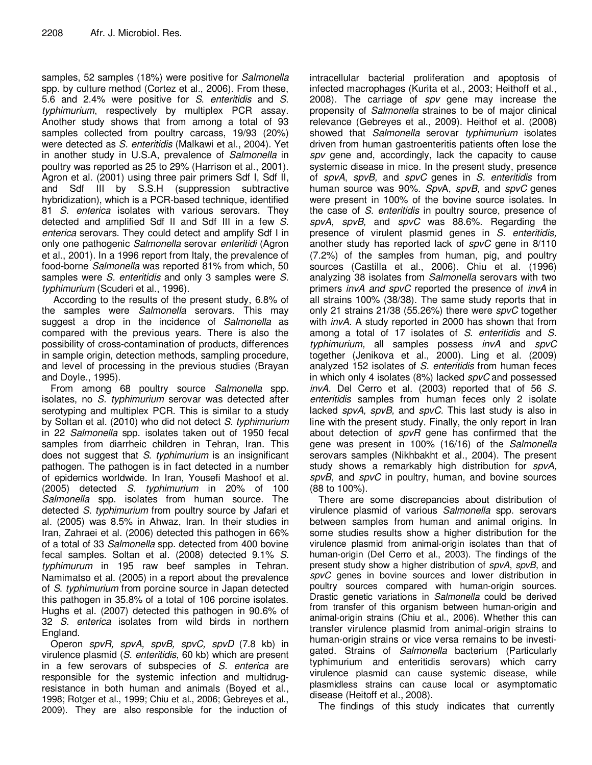samples, 52 samples (18%) were positive for Salmonella spp. by culture method (Cortez et al., 2006). From these, 5.6 and 2.4% were positive for S. enteritidis and S. typhimurium, respectively by multiplex PCR assay. Another study shows that from among a total of 93 samples collected from poultry carcass, 19/93 (20%) were detected as S. enteritidis (Malkawi et al., 2004). Yet in another study in U.S.A, prevalence of Salmonella in poultry was reported as 25 to 29% (Harrison et al., 2001). Agron et al. (2001) using three pair primers Sdf I, Sdf II, and Sdf III by S.S.H (suppression subtractive hybridization), which is a PCR-based technique, identified 81 S. enterica isolates with various serovars. They detected and amplified Sdf II and Sdf III in a few S. enterica serovars. They could detect and amplify Sdf I in only one pathogenic Salmonella serovar enteritidi (Agron et al., 2001). In a 1996 report from Italy, the prevalence of food-borne Salmonella was reported 81% from which, 50 samples were S. enteritidis and only 3 samples were S. typhimurium (Scuderi et al., 1996).

According to the results of the present study, 6.8% of the samples were Salmonella serovars. This may suggest a drop in the incidence of Salmonella as compared with the previous years. There is also the possibility of cross-contamination of products, differences in sample origin, detection methods, sampling procedure, and level of processing in the previous studies (Brayan and Doyle., 1995).

From among 68 poultry source Salmonella spp. isolates, no S. typhimurium serovar was detected after serotyping and multiplex PCR. This is similar to a study by Soltan et al. (2010) who did not detect S. typhimurium in 22 Salmonella spp. isolates taken out of 1950 fecal samples from diarrheic children in Tehran, Iran. This does not suggest that S. typhimurium is an insignificant pathogen. The pathogen is in fact detected in a number of epidemics worldwide. In Iran, Yousefi Mashoof et al. (2005) detected S. typhimurium in 20% of 100 Salmonella spp. isolates from human source. The detected S. typhimurium from poultry source by Jafari et al. (2005) was 8.5% in Ahwaz, Iran. In their studies in Iran, Zahraei et al. (2006) detected this pathogen in 66% of a total of 33 Salmonella spp. detected from 400 bovine fecal samples. Soltan et al. (2008) detected 9.1% S. typhimurum in 195 raw beef samples in Tehran. Namimatso et al. (2005) in a report about the prevalence of S. typhimurium from porcine source in Japan detected this pathogen in 35.8% of a total of 106 porcine isolates. Hughs et al. (2007) detected this pathogen in 90.6% of 32 S. enterica isolates from wild birds in northern England.

Operon spvR, spvA, spvB, spvC, spvD (7.8 kb) in virulence plasmid (S. enteritidis, 60 kb) which are present in a few serovars of subspecies of S. enterica are responsible for the systemic infection and multidrugresistance in both human and animals (Boyed et al., 1998; Rotger et al., 1999; Chiu et al., 2006; Gebreyes et al., 2009). They are also responsible for the induction of

intracellular bacterial proliferation and apoptosis of infected macrophages (Kurita et al., 2003; Heithoff et al., 2008). The carriage of spv gene may increase the propensity of Salmonella straines to be of major clinical relevance (Gebreyes et al., 2009). Heithof et al. (2008) showed that Salmonella serovar typhimurium isolates driven from human gastroenteritis patients often lose the spy gene and, accordingly, lack the capacity to cause systemic disease in mice. In the present study, presence of spvA, spvB, and spvC genes in S. enteritidis from human source was 90%. SpvA, spvB, and spvC genes were present in 100% of the bovine source isolates. In the case of S. enteritidis in poultry source, presence of spvA, spvB, and spvC was 88.6%. Regarding the presence of virulent plasmid genes in S. enteritidis, another study has reported lack of spvC gene in 8/110 (7.2%) of the samples from human, pig, and poultry sources (Castilla et al., 2006). Chiu et al. (1996) analyzing 38 isolates from Salmonella serovars with two primers *invA and spvC* reported the presence of *invA* in all strains 100% (38/38). The same study reports that in only 21 strains 21/38 (55.26%) there were spvC together with *invA*. A study reported in 2000 has shown that from among a total of 17 isolates of S. enteritidis and S. typhimurium, all samples possess invA and spvC together (Jenikova et al., 2000). Ling et al. (2009) analyzed 152 isolates of S. enteritidis from human feces in which only 4 isolates (8%) lacked spvC and possessed invA. Del Cerro et al. (2003) reported that of 56 S. enteritidis samples from human feces only 2 isolate lacked spvA, spvB, and spvC. This last study is also in line with the present study. Finally, the only report in Iran about detection of spvR gene has confirmed that the gene was present in 100% (16/16) of the Salmonella serovars samples (Nikhbakht et al., 2004). The present study shows a remarkably high distribution for spvA, spvB, and spvC in poultry, human, and bovine sources (88 to 100%).

There are some discrepancies about distribution of virulence plasmid of various Salmonella spp. serovars between samples from human and animal origins. In some studies results show a higher distribution for the virulence plasmid from animal-origin isolates than that of human-origin (Del Cerro et al., 2003). The findings of the present study show a higher distribution of spvA, spvB, and spvC genes in bovine sources and lower distribution in poultry sources compared with human-origin sources. Drastic genetic variations in Salmonella could be derived from transfer of this organism between human-origin and animal-origin strains (Chiu et al., 2006). Whether this can transfer virulence plasmid from animal-origin strains to human-origin strains or vice versa remains to be investigated. Strains of Salmonella bacterium (Particularly typhimurium and enteritidis serovars) which carry virulence plasmid can cause systemic disease, while plasmidless strains can cause local or asymptomatic disease (Heitoff et al., 2008).

The findings of this study indicates that currently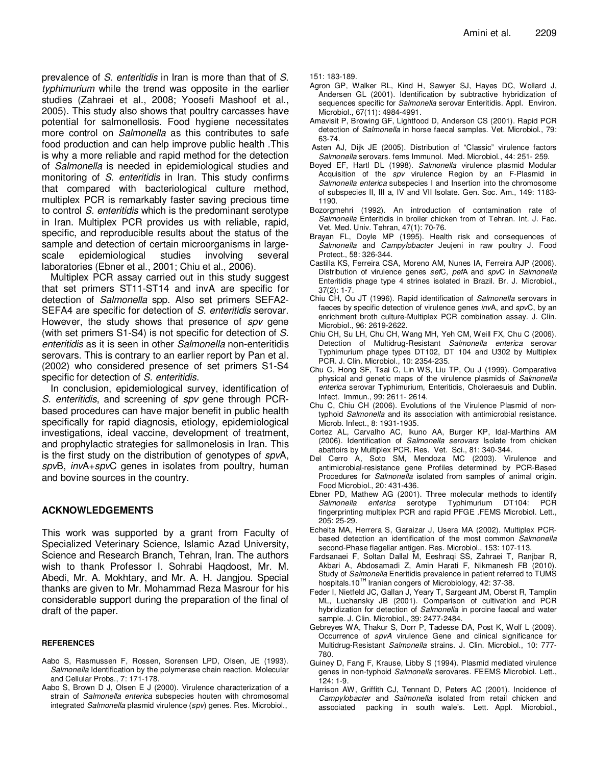prevalence of S. enteritidis in Iran is more than that of S. typhimurium while the trend was opposite in the earlier studies (Zahraei et al., 2008; Yoosefi Mashoof et al., 2005). This study also shows that poultry carcasses have potential for salmonellosis. Food hygiene necessitates more control on Salmonella as this contributes to safe food production and can help improve public health . This is why a more reliable and rapid method for the detection of Salmonella is needed in epidemiological studies and monitoring of S. enteritidis in Iran. This study confirms that compared with bacteriological culture method, multiplex PCR is remarkably faster saving precious time to control S. enteritidis which is the predominant serotype in Iran. Multiplex PCR provides us with reliable, rapid, specific, and reproducible results about the status of the sample and detection of certain microorganisms in largescale epidemiological studies involving several laboratories (Ebner et al., 2001; Chiu et al., 2006).

Multiplex PCR assay carried out in this study suggest that set primers ST11-ST14 and invA are specific for detection of Salmonella spp. Also set primers SEFA2- SEFA4 are specific for detection of S. enteritidis serovar. However, the study shows that presence of spv gene (with set primers S1-S4) is not specific for detection of S. enteritidis as it is seen in other Salmonella non-enteritidis serovars. This is contrary to an earlier report by Pan et al. (2002) who considered presence of set primers S1-S4 specific for detection of S. enteritidis.

In conclusion, epidemiological survey, identification of S. enteritidis, and screening of spv gene through PCRbased procedures can have major benefit in public health specifically for rapid diagnosis, etiology, epidemiological investigations, ideal vaccine, development of treatment, and prophylactic strategies for sallmonelosis in Iran. This is the first study on the distribution of genotypes of spvA, spvB, invA+spvC genes in isolates from poultry, human and bovine sources in the country.

## **ACKNOWLEDGEMENTS**

This work was supported by a grant from Faculty of Specialized Veterinary Science, Islamic Azad University, Science and Research Branch, Tehran, Iran. The authors wish to thank Professor I. Sohrabi Haqdoost, Mr. M. Abedi, Mr. A. Mokhtary, and Mr. A. H. Jangjou. Special thanks are given to Mr. Mohammad Reza Masrour for his considerable support during the preparation of the final of draft of the paper.

#### **REFERENCES**

- Aabo S, Rasmussen F, Rossen, Sorensen LPD, Olsen, JE (1993). Salmonella Identification by the polymerase chain reaction. Molecular and Cellular Probs., 7: 171-178.
- Aabo S, Brown D J, Olsen E J (2000). Virulence characterization of a strain of Salmonella enterica subspecies houten with chromosomal integrated Salmonella plasmid virulence (spv) genes. Res. Microbiol.,

151: 183-189.

- Agron GP, Walker RL, Kind H, Sawyer SJ, Hayes DC, Wollard J, Andersen GL (2001). Identification by subtractive hybridization of sequences specific for Salmonella serovar Enteritidis. Appl. Environ. Microbiol., 67(11): 4984-4991.
- Amavisit P, Browing GF, Lightfood D, Anderson CS (2001). Rapid PCR detection of Salmonella in horse faecal samples. Vet. Microbiol., 79: 63-74.
- Asten AJ, Dijk JE (2005). Distribution of "Classic" virulence factors Salmonella serovars. fems Immunol. Med. Microbiol., 44: 251- 259.
- Boyed EF, Hartl DL (1998). Salmonella virulence plasmid Modular Acquisition of the spv virulence Region by an F-Plasmid in Salmonella enterica subspecies I and Insertion into the chromosome of subspecies II, III a, IV and VII Isolate. Gen. Soc. Am., 149: 1183- 1190.
- Bozorgmehri (1992). An introduction of contamination rate of Salmonella Enteritidis in broiler chicken from of Tehran. Int. J. Fac. Vet. Med. Univ. Tehran, 47(1): 70-76.
- Brayan FL, Doyle MP (1995). Health risk and consequences of Salmonella and Campylobacter Jeujeni in raw poultry J. Food Protect., 58: 326-344.
- Castilla KS, Ferreira CSA, Moreno AM, Nunes IA, Ferreira AJP (2006). Distribution of virulence genes sefC, pefA and spvC in Salmonella Enteritidis phage type 4 strines isolated in Brazil. Br. J. Microbiol., 37(2): 1-7.
- Chiu CH, Ou JT (1996). Rapid identification of Salmonella serovars in faeces by specific detection of virulence genes invA, and spvC, by an enrichment broth culture-Multiplex PCR combination assay. J. Clin. Microbiol., 96: 2619-2622.
- Chiu CH, Su LH, Chu CH, Wang MH, Yeh CM, Weill FX, Chu C (2006). Detection of Multidrug-Resistant Salmonella enterica serovar Typhimurium phage types DT102, DT 104 and U302 by Multiplex PCR. J. Clin. Microbiol., 10: 2354-235.
- Chu C, Hong SF, Tsai C, Lin WS, Liu TP, Ou J (1999). Comparative physical and genetic maps of the virulence plasmids of Salmonella enterica serovar Typhimurium, Enteritidis, Choleraesuis and Dublin. Infect. Immun., 99: 2611- 2614.
- Chu C, Chiu CH (2006). Evolutions of the Virulence Plasmid of nontyphoid Salmonella and its association with antimicrobial resistance. Microb. Infect., 8: 1931-1935.
- Cortez AL, Carvalho AC, Ikuno AA, Burger KP, Idal-Marthins AM (2006). Identification of Salmonella serovars Isolate from chicken abattoirs by Multiplex PCR. Res. Vet. Sci., 81: 340-344.
- Del Cerro A, Soto SM, Mendoza MC (2003). Virulence and antimicrobial-resistance gene Profiles determined by PCR-Based Procedures for Salmonella isolated from samples of animal origin. Food Microbiol., 20: 431-436.
- Ebner PD, Mathew AG (2001). Three molecular methods to identify Salmonella enterica serotype Typhimurium DT104: PCR fingerprinting multiplex PCR and rapid PFGE .FEMS Microbiol. Lett., 205: 25-29.
- Echeita MA, Herrera S, Garaizar J, Usera MA (2002). Multiplex PCRbased detection an identification of the most common Salmonella second-Phase flagellar antigen. Res. Microbiol., 153: 107-113.
- Fardsanaei F, Soltan Dallal M, Eeshraqi SS, Zahraei T, Ranjbar R, Akbari A, Abdosamadi Z, Amin Harati F, Nikmanesh FB (2010). Study of Salmonella Eneritidis prevalence in patient referred to TUMS hospitals.10<sup>TH</sup> Iranian congers of Microbiology, 42: 37-38.
- Feder I, Nietfeld JC, Gallan J, Yeary T, Sargeant JM, Oberst R, Tamplin ML, Luchansky JB (2001). Comparison of cultivation and PCR hybridization for detection of Salmonella in porcine faecal and water sample. J. Clin. Microbiol., 39: 2477-2484.
- Gebreyes WA, Thakur S, Dorr P, Tadesse DA, Post K, Wolf L (2009). Occurrence of spvA virulence Gene and clinical significance for Multidrug-Resistant Salmonella strains. J. Clin. Microbiol., 10: 777- 780.
- Guiney D, Fang F, Krause, Libby S (1994). Plasmid mediated virulence genes in non-typhoid Salmonella serovares. FEEMS Microbiol. Lett., 124: 1-9.
- Harrison AW, Griffith CJ, Tennant D, Peters AC (2001). Incidence of Campylobacter and Salmonella isolated from retail chicken and associated packing in south wale's. Lett. Appl. Microbiol.,